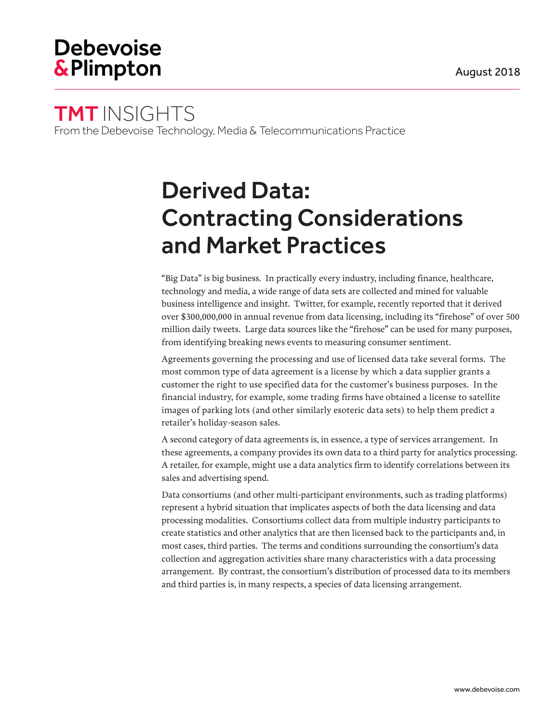## **Debevoise &Plimpton**

# TMT INSIGHTS

From the Debevoise Technology, Media & Telecommunications Practice

# Derived Data: Contracting Considerations and Market Practices

"Big Data" is big business. In practically every industry, including finance, healthcare, technology and media, a wide range of data sets are collected and mined for valuable business intelligence and insight. Twitter, for example, recently reported that it derived over \$300,000,000 in annual revenue from data licensing, including its "firehose" of over 500 million daily tweets. Large data sources like the "firehose" can be used for many purposes, from identifying breaking news events to measuring consumer sentiment.

Agreements governing the processing and use of licensed data take several forms. The most common type of data agreement is a license by which a data supplier grants a customer the right to use specified data for the customer's business purposes. In the financial industry, for example, some trading firms have obtained a license to satellite images of parking lots (and other similarly esoteric data sets) to help them predict a retailer's holiday-season sales.

A second category of data agreements is, in essence, a type of services arrangement. In these agreements, a company provides its own data to a third party for analytics processing. A retailer, for example, might use a data analytics firm to identify correlations between its sales and advertising spend.

Data consortiums (and other multi-participant environments, such as trading platforms) represent a hybrid situation that implicates aspects of both the data licensing and data processing modalities. Consortiums collect data from multiple industry participants to create statistics and other analytics that are then licensed back to the participants and, in most cases, third parties. The terms and conditions surrounding the consortium's data collection and aggregation activities share many characteristics with a data processing arrangement. By contrast, the consortium's distribution of processed data to its members and third parties is, in many respects, a species of data licensing arrangement.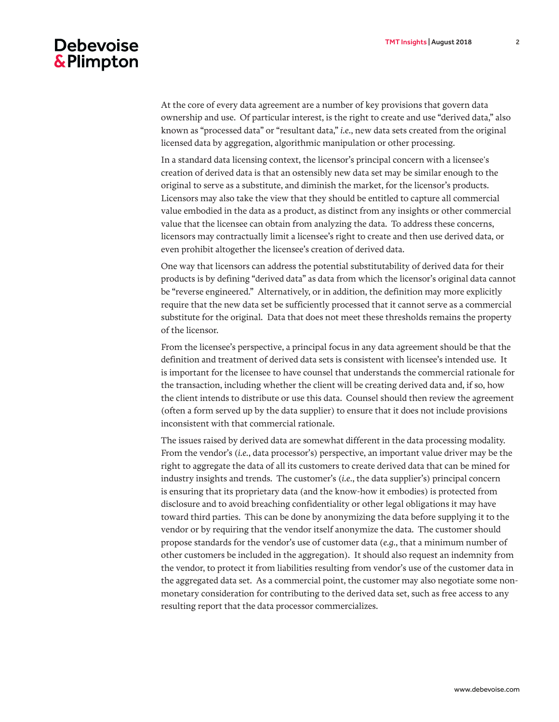### **Debevoise &Plimpton**

At the core of every data agreement are a number of key provisions that govern data ownership and use. Of particular interest, is the right to create and use "derived data," also known as "processed data" or "resultant data," *i.e.*, new data sets created from the original licensed data by aggregation, algorithmic manipulation or other processing.

In a standard data licensing context, the licensor's principal concern with a licensee's creation of derived data is that an ostensibly new data set may be similar enough to the original to serve as a substitute, and diminish the market, for the licensor's products. Licensors may also take the view that they should be entitled to capture all commercial value embodied in the data as a product, as distinct from any insights or other commercial value that the licensee can obtain from analyzing the data. To address these concerns, licensors may contractually limit a licensee's right to create and then use derived data, or even prohibit altogether the licensee's creation of derived data.

One way that licensors can address the potential substitutability of derived data for their products is by defining "derived data" as data from which the licensor's original data cannot be "reverse engineered." Alternatively, or in addition, the definition may more explicitly require that the new data set be sufficiently processed that it cannot serve as a commercial substitute for the original. Data that does not meet these thresholds remains the property of the licensor.

From the licensee's perspective, a principal focus in any data agreement should be that the definition and treatment of derived data sets is consistent with licensee's intended use. It is important for the licensee to have counsel that understands the commercial rationale for the transaction, including whether the client will be creating derived data and, if so, how the client intends to distribute or use this data. Counsel should then review the agreement (often a form served up by the data supplier) to ensure that it does not include provisions inconsistent with that commercial rationale.

The issues raised by derived data are somewhat different in the data processing modality. From the vendor's (*i.e.*, data processor's) perspective, an important value driver may be the right to aggregate the data of all its customers to create derived data that can be mined for industry insights and trends. The customer's (*i.e.*, the data supplier's) principal concern is ensuring that its proprietary data (and the know-how it embodies) is protected from disclosure and to avoid breaching confidentiality or other legal obligations it may have toward third parties. This can be done by anonymizing the data before supplying it to the vendor or by requiring that the vendor itself anonymize the data. The customer should propose standards for the vendor's use of customer data (*e.g.*, that a minimum number of other customers be included in the aggregation). It should also request an indemnity from the vendor, to protect it from liabilities resulting from vendor's use of the customer data in the aggregated data set. As a commercial point, the customer may also negotiate some nonmonetary consideration for contributing to the derived data set, such as free access to any resulting report that the data processor commercializes.